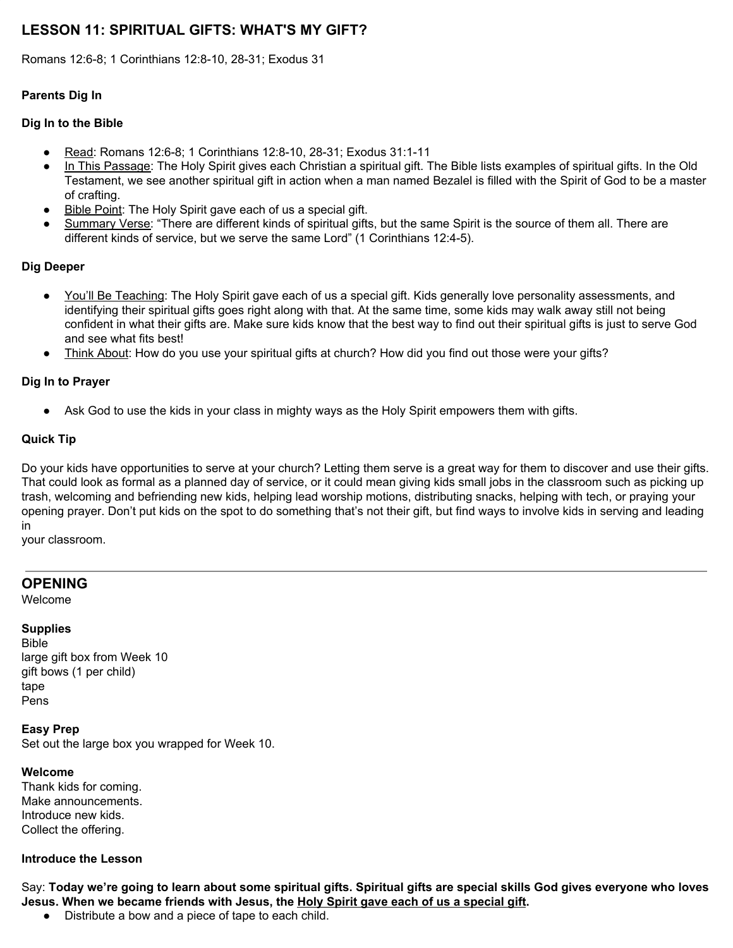# **LESSON 11: SPIRITUAL GIFTS: WHAT'S MY GIFT?**

Romans 12:6-8; 1 Corinthians 12:8-10, 28-31; Exodus 31

## **Parents Dig In**

## **Dig In to the Bible**

- Read: Romans 12:6-8; 1 Corinthians 12:8-10, 28-31; Exodus 31:1-11
- In This Passage: The Holy Spirit gives each Christian a spiritual gift. The Bible lists examples of spiritual gifts. In the Old Testament, we see another spiritual gift in action when a man named Bezalel is filled with the Spirit of God to be a master of crafting.
- Bible Point: The Holy Spirit gave each of us a special gift.
- Summary Verse: "There are different kinds of spiritual gifts, but the same Spirit is the source of them all. There are different kinds of service, but we serve the same Lord" (1 Corinthians 12:4-5).

#### **Dig Deeper**

- You'll Be Teaching: The Holy Spirit gave each of us a special gift. Kids generally love personality assessments, and identifying their spiritual gifts goes right along with that. At the same time, some kids may walk away still not being confident in what their gifts are. Make sure kids know that the best way to find out their spiritual gifts is just to serve God and see what fits best!
- Think About: How do you use your spiritual gifts at church? How did you find out those were your gifts?

#### **Dig In to Prayer**

• Ask God to use the kids in your class in mighty ways as the Holy Spirit empowers them with gifts.

#### **Quick Tip**

Do your kids have opportunities to serve at your church? Letting them serve is a great way for them to discover and use their gifts. That could look as formal as a planned day of service, or it could mean giving kids small jobs in the classroom such as picking up trash, welcoming and befriending new kids, helping lead worship motions, distributing snacks, helping with tech, or praying your opening prayer. Don't put kids on the spot to do something that's not their gift, but find ways to involve kids in serving and leading in

your classroom.

# **OPENING**

Welcome

#### **Supplies**

Bible large gift box from Week 10 gift bows (1 per child) tape Pens

**Easy Prep** Set out the large box you wrapped for Week 10.

#### **Welcome**

Thank kids for coming. Make announcements. Introduce new kids. Collect the offering.

#### **Introduce the Lesson**

Say: Today we're going to learn about some spiritual gifts. Spiritual gifts are special skills God gives everyone who loves **Jesus. When we became friends with Jesus, the Holy Spirit gave each of us a special gift.**

● Distribute a bow and a piece of tape to each child.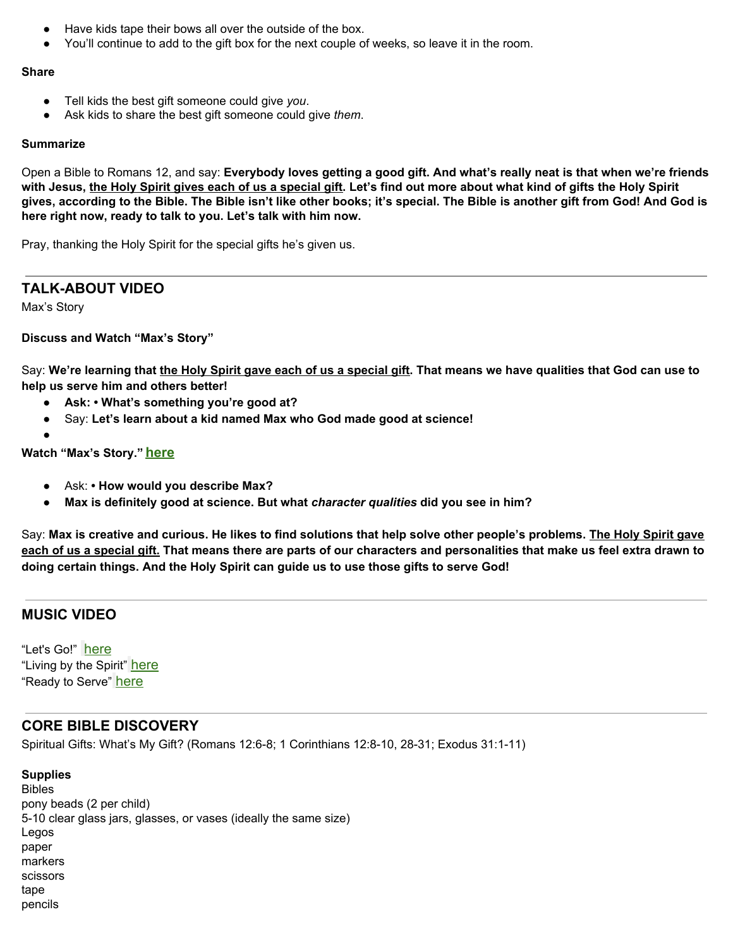- Have kids tape their bows all over the outside of the box.
- You'll continue to add to the gift box for the next couple of weeks, so leave it in the room.

#### **Share**

- Tell kids the best gift someone could give *you*.
- Ask kids to share the best gift someone could give *them*.

#### **Summarize**

Open a Bible to Romans 12, and say: Everybody loves getting a good gift. And what's really neat is that when we're friends with Jesus, the Holy Spirit gives each of us a special gift. Let's find out more about what kind of gifts the Holy Spirit gives, according to the Bible. The Bible isn't like other books; it's special. The Bible is another gift from God! And God is **here right now, ready to talk to you. Let's talk with him now.**

Pray, thanking the Holy Spirit for the special gifts he's given us.

# **TALK-ABOUT VIDEO**

Max's Story

## **Discuss and Watch "Max's Story"**

Say: We're learning that the Holy Spirit gave each of us a special gift. That means we have qualities that God can use to **help us serve him and others better!**

- **● Ask: • What's something you're good at?**
- Say: **Let's learn about a kid named Max who God made good at science!**
- 

**●**

#### **Watch "Max's Story." [here](https://vimeo.com/showcase/6097677/video/345118006)**

- Ask: **• How would you describe Max?**
- **Max is definitely good at science. But what** *character qualities* **did you see in him?**

Say: Max is creative and curious. He likes to find solutions that help solve other people's problems. The Holy Spirit gave each of us a special gift. That means there are parts of our characters and personalities that make us feel extra drawn to **doing certain things. And the Holy Spirit can guide us to use those gifts to serve God!**

# **MUSIC VIDEO**

"Let's Go!" [here](https://vimeo.com/showcase/6097677/video/345113936) "Living by the Spirit" [here](https://vimeo.com/showcase/6097677/video/345114007) "Ready to Serve" [here](https://vimeo.com/showcase/6097677/video/345114087)

# **CORE BIBLE DISCOVERY**

Spiritual Gifts: What's My Gift? (Romans 12:6-8; 1 Corinthians 12:8-10, 28-31; Exodus 31:1-11)

## **Supplies** Bibles pony beads (2 per child) 5-10 clear glass jars, glasses, or vases (ideally the same size) Legos paper markers scissors tape pencils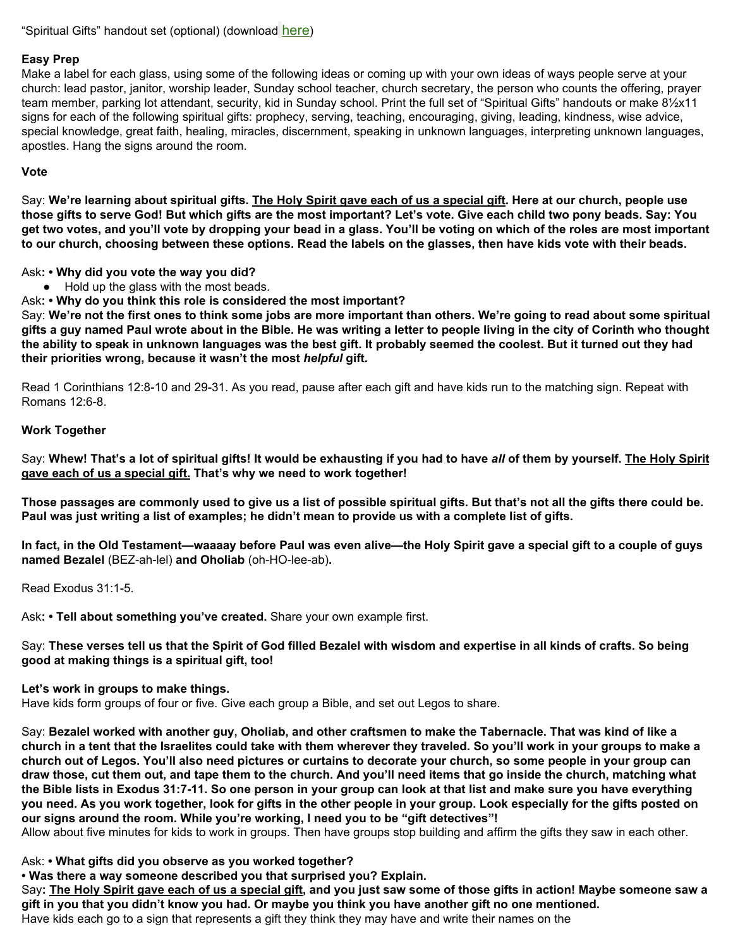#### **Easy Prep**

Make a label for each glass, using some of the following ideas or coming up with your own ideas of ways people serve at your church: lead pastor, janitor, worship leader, Sunday school teacher, church secretary, the person who counts the offering, prayer team member, parking lot attendant, security, kid in Sunday school. Print the full set of "Spiritual Gifts" handouts or make 81/2x11 signs for each of the following spiritual gifts: prophecy, serving, teaching, encouraging, giving, leading, kindness, wise advice, special knowledge, great faith, healing, miracles, discernment, speaking in unknown languages, interpreting unknown languages, apostles. Hang the signs around the room.

#### **Vote**

Say: We're learning about spiritual gifts. The Holy Spirit gave each of us a special gift. Here at our church, people use those gifts to serve God! But which gifts are the most important? Let's vote. Give each child two pony beads. Say: You get two votes, and you'll vote by dropping your bead in a glass. You'll be voting on which of the roles are most important to our church, choosing between these options. Read the labels on the glasses, then have kids vote with their beads.

Ask**: • Why did you vote the way you did?**

● Hold up the glass with the most beads.

Ask**: • Why do you think this role is considered the most important?**

Say: We're not the first ones to think some jobs are more important than others. We're going to read about some spiritual gifts a guy named Paul wrote about in the Bible. He was writing a letter to people living in the city of Corinth who thought the ability to speak in unknown languages was the best gift. It probably seemed the coolest. But it turned out they had **their priorities wrong, because it wasn't the most** *helpful* **gift.**

Read 1 Corinthians 12:8-10 and 29-31. As you read, pause after each gift and have kids run to the matching sign. Repeat with Romans 12:6-8.

#### **Work Together**

Say: Whew! That's a lot of spiritual gifts! It would be exhausting if you had to have all of them by yourself. The Holy Spirit **gave each of us a special gift. That's why we need to work together!**

Those passages are commonly used to give us a list of possible spiritual gifts. But that's not all the gifts there could be. Paul was just writing a list of examples; he didn't mean to provide us with a complete list of gifts.

In fact, in the Old Testament—waaaay before Paul was even alive—the Holy Spirit gave a special gift to a couple of guys **named Bezalel** (BEZ-ah-lel) **and Oholiab** (oh-HO-lee-ab)**.**

Read Exodus 31:1-5.

Ask**: • Tell about something you've created.** Share your own example first.

Say: These verses tell us that the Spirit of God filled Bezalel with wisdom and expertise in all kinds of crafts. So being **good at making things is a spiritual gift, too!**

**Let's work in groups to make things.**

Have kids form groups of four or five. Give each group a Bible, and set out Legos to share.

Say: Bezalel worked with another guy, Oholiab, and other craftsmen to make the Tabernacle. That was kind of like a church in a tent that the Israelites could take with them wherever they traveled. So you'll work in your groups to make a church out of Legos. You'll also need pictures or curtains to decorate your church, so some people in your group can draw those, cut them out, and tape them to the church. And you'll need items that go inside the church, matching what the Bible lists in Exodus 31:7-11. So one person in your group can look at that list and make sure you have everything you need. As you work together, look for gifts in the other people in your group. Look especially for the gifts posted on **our signs around the room. While you're working, I need you to be "gift detectives"!**

Allow about five minutes for kids to work in groups. Then have groups stop building and affirm the gifts they saw in each other.

Ask: **• What gifts did you observe as you worked together?**

**• Was there a way someone described you that surprised you? Explain.**

Say: The Holy Spirit gave each of us a special gift, and you just saw some of those gifts in action! Maybe someone saw a gift in you that you didn't know you had. Or maybe you think you have another gift no one mentioned. Have kids each go to a sign that represents a gift they think they may have and write their names on the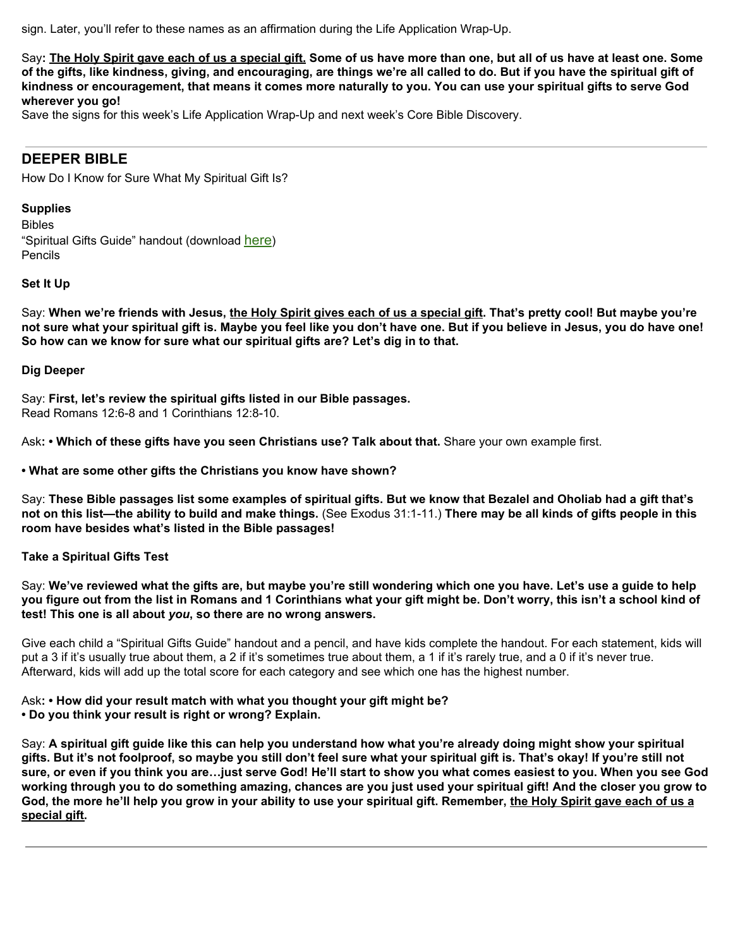sign. Later, you'll refer to these names as an affirmation during the Life Application Wrap-Up.

Say: The Holy Spirit gave each of us a special gift. Some of us have more than one, but all of us have at least one. Some of the gifts, like kindness, giving, and encouraging, are things we're all called to do. But if you have the spiritual gift of kindness or encouragement, that means it comes more naturally to you. You can use your spiritual gifts to serve God **wherever you go!**

Save the signs for this week's Life Application Wrap-Up and next week's Core Bible Discovery.

# **DEEPER BIBLE**

How Do I Know for Sure What My Spiritual Gift Is?

# **Supplies**

Bibles "Spiritual Gifts Guide" handout (download [here](https://digin-resources.group.com/media/10712/q2_lesson-11_spiritual-gifts-guide_handout.pdf)) Pencils

## **Set It Up**

Say: When we're friends with Jesus, the Holy Spirit gives each of us a special gift. That's pretty cool! But maybe you're not sure what your spiritual gift is. Maybe you feel like you don't have one. But if you believe in Jesus, you do have one! **So how can we know for sure what our spiritual gifts are? Let's dig in to that.**

#### **Dig Deeper**

Say: **First, let's review the spiritual gifts listed in our Bible passages.** Read Romans 12:6-8 and 1 Corinthians 12:8-10.

Ask**: • Which of these gifts have you seen Christians use? Talk about that.** Share your own example first.

**• What are some other gifts the Christians you know have shown?**

Say: These Bible passages list some examples of spiritual gifts. But we know that Bezalel and Oholiab had a gift that's not on this list—the ability to build and make things. (See Exodus 31:1-11.) There may be all kinds of gifts people in this **room have besides what's listed in the Bible passages!**

## **Take a Spiritual Gifts Test**

Say: We've reviewed what the gifts are, but maybe you're still wondering which one you have. Let's use a guide to help you figure out from the list in Romans and 1 Corinthians what your gift might be. Don't worry, this isn't a school kind of **test! This one is all about** *you***, so there are no wrong answers.**

Give each child a "Spiritual Gifts Guide" handout and a pencil, and have kids complete the handout. For each statement, kids will put a 3 if it's usually true about them, a 2 if it's sometimes true about them, a 1 if it's rarely true, and a 0 if it's never true. Afterward, kids will add up the total score for each category and see which one has the highest number.

Ask**: • How did your result match with what you thought your gift might be? • Do you think your result is right or wrong? Explain.**

Say: A spiritual gift guide like this can help you understand how what you're already doing might show your spiritual gifts. But it's not foolproof, so maybe you still don't feel sure what your spiritual gift is. That's okay! If you're still not sure, or even if you think you are...just serve God! He'll start to show you what comes easiest to you. When you see God working through you to do something amazing, chances are you just used your spiritual gift! And the closer you grow to God, the more he'll help you grow in your ability to use your spiritual gift. Remember, the Holy Spirit gave each of us a **special gift.**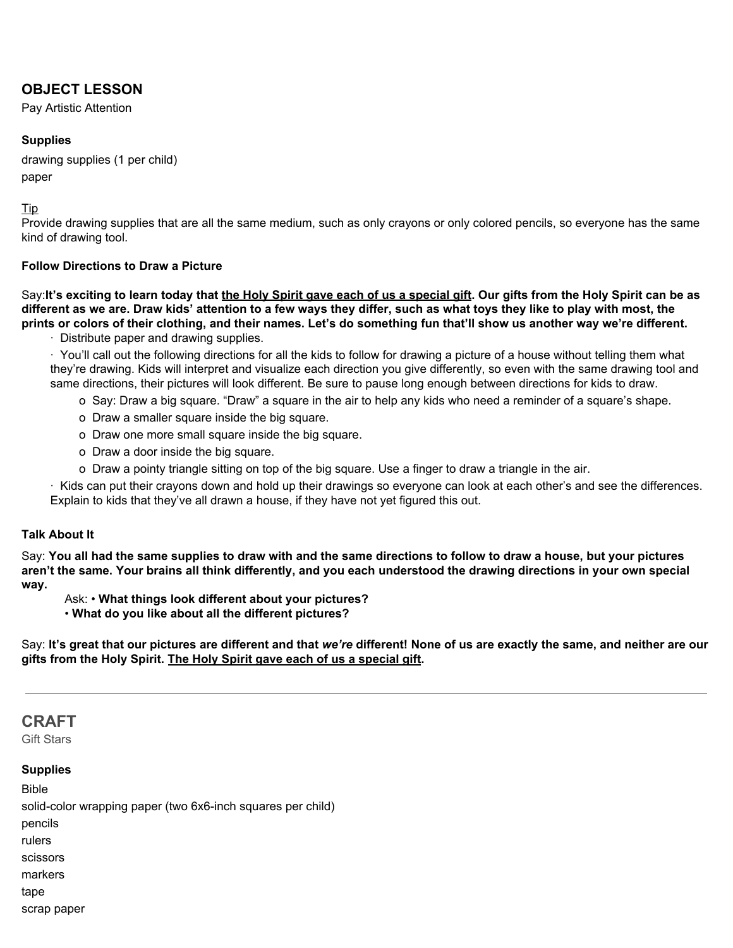# **OBJECT LESSON**

Pay Artistic Attention

## **Supplies**

drawing supplies (1 per child) paper

## Tip

Provide drawing supplies that are all the same medium, such as only crayons or only colored pencils, so everyone has the same kind of drawing tool.

## **Follow Directions to Draw a Picture**

Say:It's exciting to learn today that the Holy Spirit gave each of us a special gift. Our gifts from the Holy Spirit can be as different as we are. Draw kids' attention to a few ways they differ, such as what toys they like to play with most, the prints or colors of their clothing, and their names. Let's do something fun that'll show us another way we're different.

· Distribute paper and drawing supplies.

· You'll call out the following directions for all the kids to follow for drawing a picture of a house without telling them what they're drawing. Kids will interpret and visualize each direction you give differently, so even with the same drawing tool and same directions, their pictures will look different. Be sure to pause long enough between directions for kids to draw.

o Say: Draw a big square. "Draw" a square in the air to help any kids who need a reminder of a square's shape.

- o Draw a smaller square inside the big square.
- o Draw one more small square inside the big square.
- o Draw a door inside the big square.
- o Draw a pointy triangle sitting on top of the big square. Use a finger to draw a triangle in the air.

· Kids can put their crayons down and hold up their drawings so everyone can look at each other's and see the differences. Explain to kids that they've all drawn a house, if they have not yet figured this out.

#### **Talk About It**

Say: You all had the same supplies to draw with and the same directions to follow to draw a house, but your pictures aren't the same. Your brains all think differently, and you each understood the drawing directions in your own special **way.**

Ask: • **What things look different about your pictures?**

• **What do you like about all the different pictures?**

Say: It's great that our pictures are different and that we're different! None of us are exactly the same, and neither are our **gifts from the Holy Spirit. The Holy Spirit gave each of us a special gift.**

# **CRAFT**

Gift Stars

## **Supplies**

Bible

solid-color wrapping paper (two 6x6-inch squares per child) pencils rulers scissors markers tape

scrap paper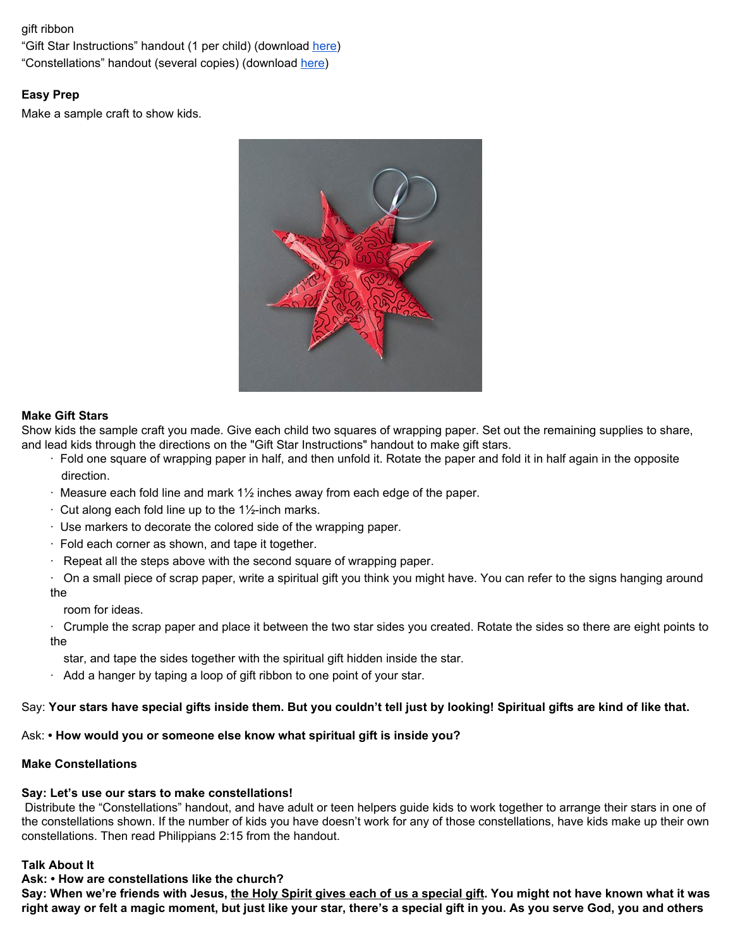## gift ribbon

"Gift Star Instructions" handout (1 per child) (download [here](https://digin-resources.group.com/media/10816/q2_lesson-11_gift-star-instructions_handout.pdf)) "Constellations" handout (several copies) (download [here\)](https://digin-resources.group.com/media/10732/q2_lesson-11_constellations_handout.pdf)

# **Easy Prep**

Make a sample craft to show kids.



## **Make Gift Stars**

Show kids the sample craft you made. Give each child two squares of wrapping paper. Set out the remaining supplies to share, and lead kids through the directions on the "Gift Star Instructions" handout to make gift stars.

- · Fold one square of wrapping paper in half, and then unfold it. Rotate the paper and fold it in half again in the opposite direction.
- · Measure each fold line and mark 1½ inches away from each edge of the paper.
- $\cdot$  Cut along each fold line up to the 1½-inch marks.
- · Use markers to decorate the colored side of the wrapping paper.
- · Fold each corner as shown, and tape it together.
- · Repeat all the steps above with the second square of wrapping paper.

· On a small piece of scrap paper, write a spiritual gift you think you might have. You can refer to the signs hanging around the

room for ideas.

· Crumple the scrap paper and place it between the two star sides you created. Rotate the sides so there are eight points to the

star, and tape the sides together with the spiritual gift hidden inside the star.

· Add a hanger by taping a loop of gift ribbon to one point of your star.

## Say: Your stars have special gifts inside them. But you couldn't tell just by looking! Spiritual gifts are kind of like that.

Ask: **• How would you or someone else know what spiritual gift is inside you?**

#### **Make Constellations**

# **Say: Let's use our stars to make constellations!**

Distribute the "Constellations" handout, and have adult or teen helpers guide kids to work together to arrange their stars in one of the constellations shown. If the number of kids you have doesn't work for any of those constellations, have kids make up their own constellations. Then read Philippians 2:15 from the handout.

# **Talk About It**

# **Ask: • How are constellations like the church?**

Say: When we're friends with Jesus, the Holy Spirit gives each of us a special gift. You might not have known what it was right away or felt a magic moment, but just like your star, there's a special gift in you. As you serve God, you and others